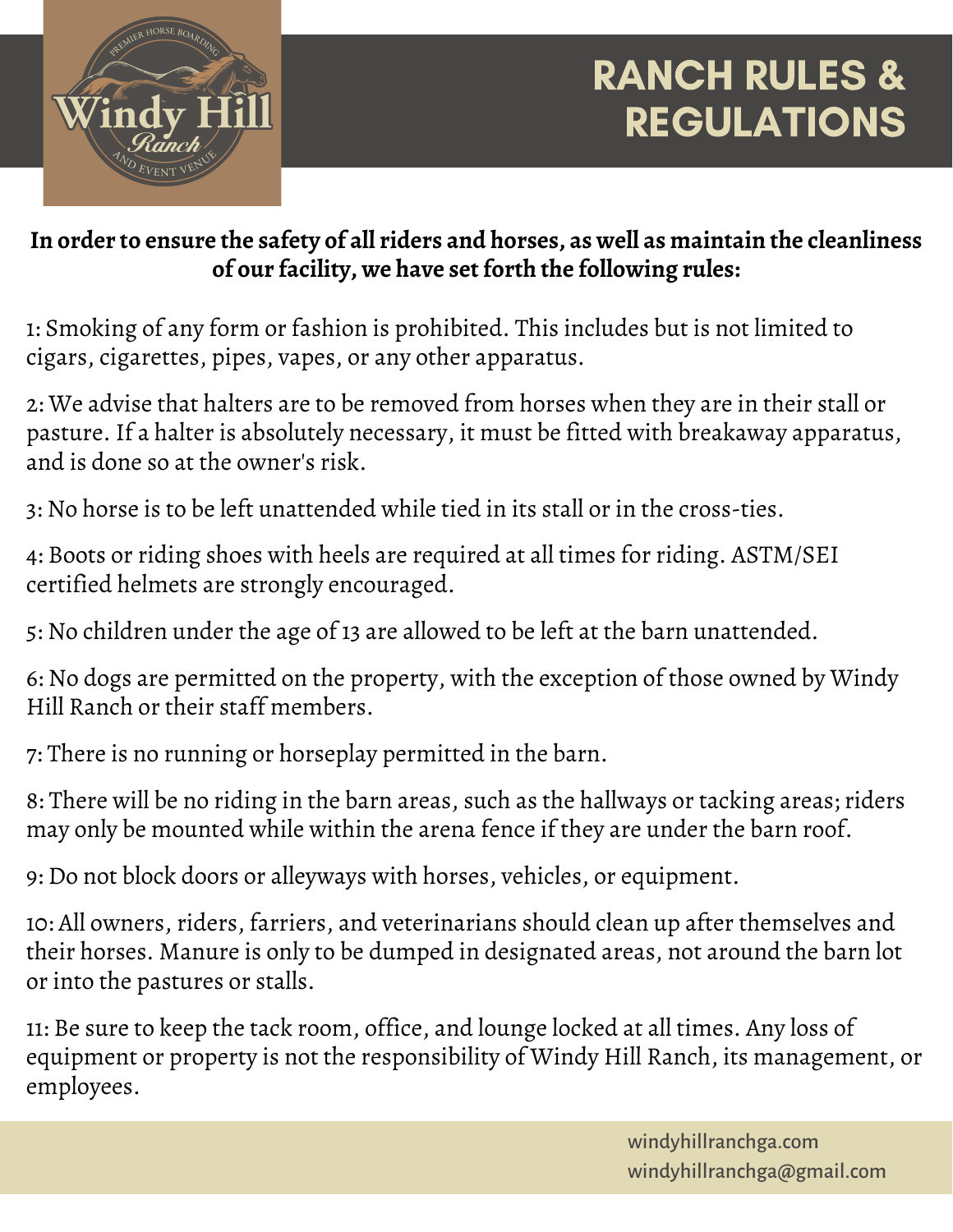

## RANCH RULES & REGULATIONS

## **In order to ensure the safety of all riders and horses, as well as maintain the cleanliness of our facility, we have set forth the following rules:**

1: Smoking of any form or fashion is prohibited. This includes but is not limited to cigars, cigarettes, pipes, vapes, or any other apparatus.

2: We advise that halters are to be removed from horses when they are in their stall or pasture. If a halter is absolutely necessary, it must be fitted with breakaway apparatus, and is done so at the owner's risk.

3: No horse is to be left unattended while tied in its stall or in the cross-ties.

4: Boots or riding shoes with heels are required at all times for riding. ASTM/SEI certified helmets are strongly encouraged.

5: No children under the age of 13 are allowed to be left at the barn unattended.

6: No dogs are permitted on the property, with the exception of those owned by Windy Hill Ranch or their staff members.

7: There is no running or horseplay permitted in the barn.

8: There will be no riding in the barn areas, such as the hallways or tacking areas; riders may only be mounted while within the arena fence if they are under the barn roof.

9: Do not block doors or alleyways with horses, vehicles, or equipment.

10: All owners, riders, farriers, and veterinarians should clean up after themselves and their horses. Manure is only to be dumped in designated areas, not around the barn lot or into the pastures or stalls.

11: Be sure to keep the tack room, office, and lounge locked at all times. Any loss of equipment or property is not the responsibility of Windy Hill Ranch, its management, or employees.